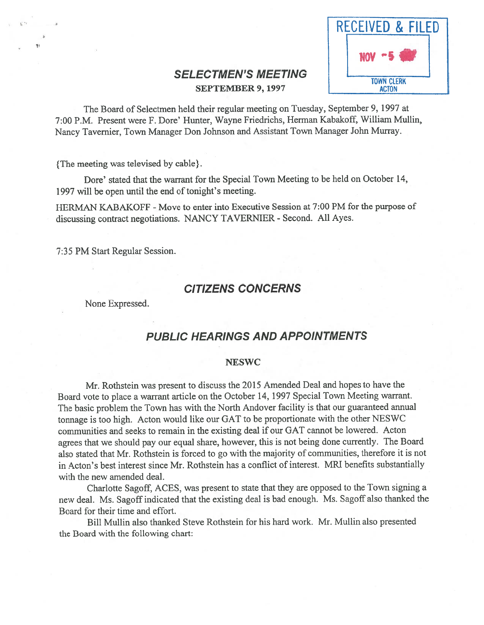

# SELECTMEN'S MEETING SEPTEMBER 9, 1997 ACTON

The Board of Selectmen held their regular meeting on Tuesday, September 9, 1997 at 7:00 P.M. Present were F. Dore' Hunter, Wayne Friedrichs, Herman Kabakoff, William Mullin, Nancy Tavemier, Town Manager Don Johnson and Assistant Town Manager John Murray.

{The meeting was televised by cable}.

Dore' stated that the warrant for the Special Town Meeting to be held on October 14, 1997 will be open until the end of tonight's meeting.

HERMAN KABAKOFF - Move to enter into Executive Session at 7:00 PM for the purpose of discussing contract negotiations. NANCY TAVERNIER - Second. All Ayes.

7:35 PM Start Regular Session.

# CITIZENS CONCERNS

None Expressed.

# PUBLIC HEARINGS AND APPOINTMENTS

#### NESWC

Mr. Rothstein was presen<sup>t</sup> to discuss the <sup>2015</sup> Amended Deal and hopes to have the Board vote to <sup>p</sup>lace <sup>a</sup> warrant article on the October 14, <sup>1997</sup> Special Town Meeting warrant. The basic problem the Town has with the North Andover facility is that our guaranteed annual tonnage is too high. Acton would like our GAT to be proportionate with the other NESWC communities and seeks to remain in the existing deal if our GAT cannot be lowered. Acton agrees that we should pay our equa<sup>l</sup> share, however, this is not being done currently. The Board also stated that Mr. Rothstein is forced to go with the majority of communities, therefore it is not in Acton's best interest since Mr. Rothstein has <sup>a</sup> conflict of interest. MRI benefits substantially with the new amended deal.

Charlotte Sagoff, ACES, was presen<sup>t</sup> to state that they are oppose<sup>d</sup> to the Town signing <sup>a</sup> new deal. Ms. Sagoff indicated that the existing deal is bad enough. Ms. Sagoff also thanked the Board for their time and effort.

Bill Mullin also thanked Steve Rothstein for his hard work. Mr. Mullin also presented the Board with the following chart: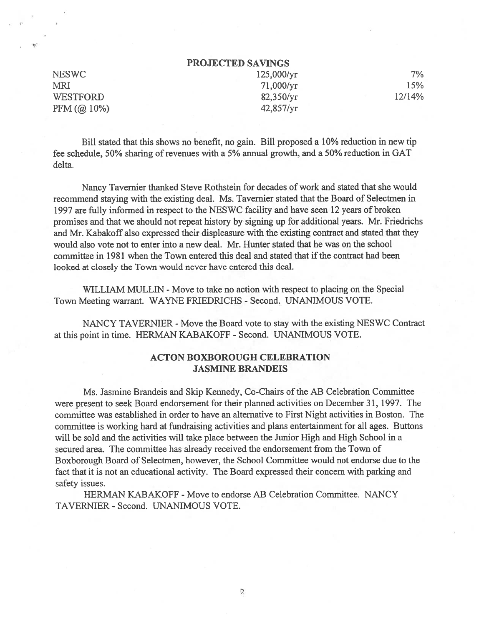| <b>PROJECTED SAVINGS</b> |  |
|--------------------------|--|
|--------------------------|--|

NESWC 125,000/yr 7% MRI 21,000/yr 15% WESTFORD 82,350/yr 12/14% PFM (@ 10%) 42,857/yr

I,,

Bill stated that this shows no benefit, no gain. Bill proposed <sup>a</sup> 10% reduction in new tip fee schedule, 50% sharing of revenues with <sup>a</sup> 5% annual growth, and <sup>a</sup> 50% reduction in GAT delta.

Nancy Tavernier thanked Steve Rothstein for decades of work and stated that she would recommend staying with the existing deal. Ms. Tavernier stated that the Board of Selectmen in 1997 are fully informed in respec<sup>t</sup> to the NESWC facility and have seen 12 years of broken promises and that we should not repea<sup>t</sup> history by signing up for additional years. Mr. Friedrichs and Mr. Kabakoff also expressed their displeasure with the existing contract and stated that they would also vote not to enter into <sup>a</sup> new deal. Mr. Hunter stated that he was on the school committee in 1981 when the Town entered this deal and stated that ifthe contract had been looked at closely the Town would never have entered this deal.

WILLIAM MULLIN - Move to take no action with respec<sup>t</sup> to placing on the Special Town Meeting warrant. WAYNE FRIEDRICHS - Second. UNANIMOUS VOTE.

NANCY TAVERNIER - Move the Board vote to stay with the existing NESWC Contract at this point in time. HERMAN KABAKOFF - Second. UNANIMOUS VOTE.

## ACTON BOXBOROUGH CELEBRATION JASMINE BRANDEIS

Ms. Jasmine Brandeis and Skip Kennedy, Co-Chairs of the AB Celebration Committee were presen<sup>t</sup> to seek Board endorsement for their planned activities on December 31, 1997. The committee was established in order to have an alternative to First Night activities in Boston. The committee is working hard at fundraising activities and plans entertainment for all ages. Buttons will be sold and the activities will take place between the Junior High and High School in <sup>a</sup> secured area. The committee has already received the endorsement from the Town of Boxborough Board of Selectmen, however, the School Committee would not endorse due to the fact that it is not an educational activity. The Board expressed their concern with parking and safety issues.

HERMAN KABAKOFF - Move to endorse AB Celebration Committee. NANCY TAVERNIER -Second. UNANIMOUS VOTE.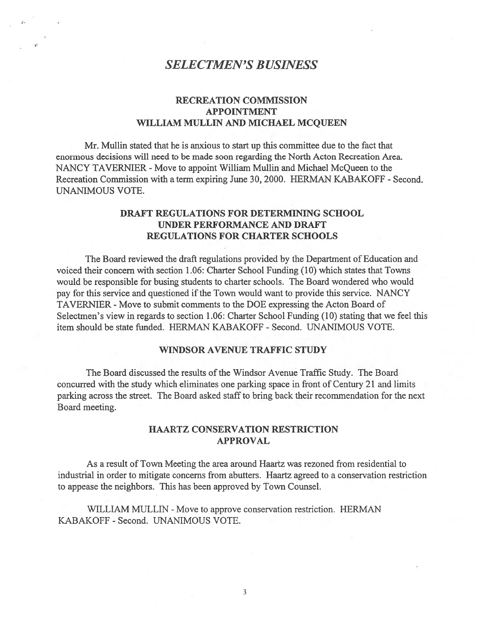# SELECTMEN'S BUSINESS

## RECREATION COMMISSION APPOINTMENT WILLIAM MULLIN AND MICHAEL MCQUEEN

Mr. Mullin stated that he is anxious to start up this committee due to the fact that enormous decisions will need to be made soon regarding the North Acton Recreation Area. NANCY TAVERNIER - Move to appoint William Mullin and Michael McQueen to the Recreation Commission with <sup>a</sup> term expiring June 30, 2000. HERMAN KABAKOFF - Second. UNANIMOUS VOTE.

## DRAFT REGULATIONS FOR DETERMINING SCHOOL UNDER PERFORMANCE AND DRAFT REGULATIONS FOR CHARTER SCHOOLS

The Board reviewed the draft regulations provided by the Department of Education and voiced their concern with section 1.06: Charter School Funding (10) which states that Towns would be responsible for busing students to charter schools. The Board wondered who would pay for this service and questioned if the Town would want to provide this service. NANCY TAVERNIER - Move to submit comments to the DOE expressing the Acton Board of Selectmen's view in regards to section 1.06: Charter School Funding (10) stating that we feel this item should be state funded. HERMAN KABAKOFF -Second. UNANIMOUS VOTE.

### WINDSOR AVENUE TRAFFIC STUDY

The Board discussed the results of the Windsor Avenue Traffic Study. The Board concurred with the study which eliminates one parking space in front of Century 21 and limits parking across the street. The Board asked staff to bring back their recommendation for the next Board meeting.

## HAARTZ CONSERVATION RESTRICTION APPROVAL

As <sup>a</sup> result of Town Meeting the area around Haartz was rezoned from residential to industrial in order to mitigate concerns from abutters. Haartz agreed to <sup>a</sup> conservation restriction to appease the neighbors. This has been approved by Town Counsel.

WILLIAM MULLIN - Move to approve conservation restriction. HERMAN KABAKOFF - Second. UNANIMOUS VOTE.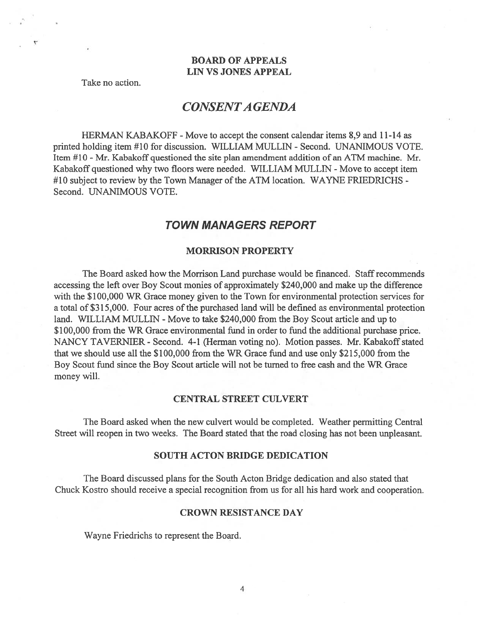## BOARD OF APPEALS LIN VS JONES APPEAL

Take no action.

# CONSENTA GENDA

HERMAN KABAKOFF - Move to accept the consent calendar items 8,9 and 11-14 as printed holding item #10 for discussion. WILLIAM MULLIN - Second. UNANIMOUS VOTE. Item #10 - Mr. Kabakoff questioned the site plan amendment addition of an ATM machine. Mr. Kabakoff questioned why two floors were needed. WILLIAM MULLIN - Move to accept item #10 subject to review by the Town Manager of the ATM location. WAYNE FRIEDRICHS -Second. UNANIMOUS VOTE.

## TOWN MANAGERS REPORT

#### MORRISON PROPERTY

The Board asked how the Morrison Land purchase would be financed. Staff recommends accessing the left over Boy Scout monies of approximately \$240,000 and make up the difference with the \$100,000 WR Grace money given to the Town for environmental protection services for a total of \$315,000. Four acres of the purchased land will be defined as environmental protection land. WILLIAM MULLIN - Move to take \$240,000 from the Boy Scout article and up to \$100,000 from the WR Grace environmental fund in order to fund the additional purchase price. NANCY TAVERNIER - Second. 4-1 (Herman voting no). Motion passes. Mr. Kabakoff stated that we should use all the \$100,000 from the WR Grace fund and use only \$215,000 from the Boy Scout fund since the Boy Scout article will not be turned to free cash and the WR Grace money will.

#### CENTRAL STREET CULVERT

The Board asked when the new culvert would be completed. Weather permitting Central Street will reopen in two weeks. The Board stated that the road closing has not been unpleasant.

#### SOUTH ACTON BRIDGE DEDICATION

The Board discussed plans for the South Acton Bridge dedication and also stated that Chuck Kostro should receive <sup>a</sup> special recognition from us for all his hard work and cooperation.

#### CROWN RESISTANCE DAY

Wayne Friedrichs to represen<sup>t</sup> the Board.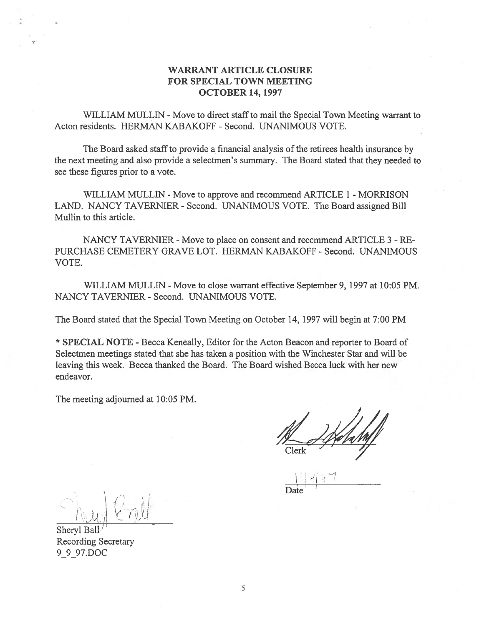## WARRANT ARTICLE CLOSURE FOR SPECIAL TOWN MEETING OCTOBER 14, 1997

WILLIAM MULLIN - Move to direct staff to mail the Special Town Meeting warrant to Acton residents. HERMAN KABAKOFF - Second. UNANIMOUS VOTE.

The Board asked staff to provide a financial analysis of the retirees health insurance by the next meeting and also provide <sup>a</sup> selectmen's summary. The Board stated that they needed to see these figures prior to <sup>a</sup> vote.

WILLIAM MULLIN - Move to approve and recommend ARTICLE 1 - MORRISON LAND. NANCY TAVERNIER - Second. UNANIMOUS VOTE. The Board assigned Bill Mullin to this article.

NANCY TAVERNIER - Move to place on consent and recommend ARTICLE 3 - RE-PURCHASE CEMETERY GRAVE LOT. HERMAN KABAKOFF -Second. UNANIMOUS VOTE.

WILLIAM MULLIN - Move to close warrant effective September 9, 1997 at 10:05 PM. NANCY TAVERNIER - Second. UNANIMOUS VOTE.

The Board stated that the Special Town Meeting on October 14, 1997 will begin at 7:00 PM

\* SPECIAL NOTE - Becca Keneally, Editor for the Acton Beacon and reporter to Board of Selectmen meetings stated that she has taken <sup>a</sup> position with the Winchester Star and will be leaving this week. Becca thanked the Board. The Board wished Becca luck with her new endeavor.

The meeting adjourned at 10:05 PM.

 $\mathcal{U} \rightarrow \mathcal{U}$ 

<u>because the contract of the contract of the contract of the contract of the contract of the contract of the contract of the contract of the contract of the contract of the contract of the contract of the contract of the c</u> II  $\bigcap_{i=1}^n A_i = \bigcup_{i=1}^n A_i$ Sheryl Ball

Recording Secretary 9\_9\_97.DOC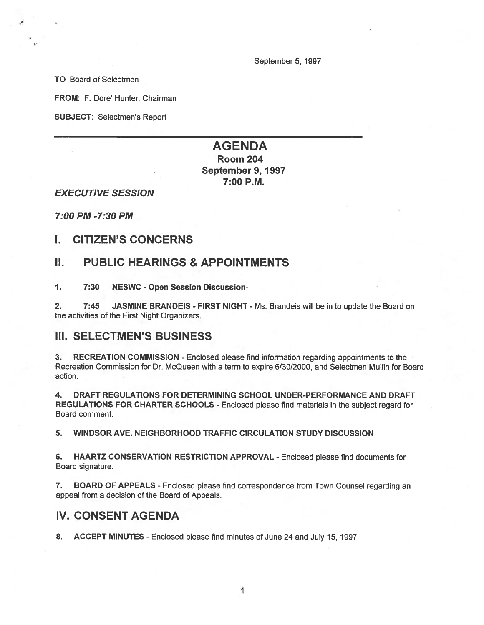September 5, 1997

TO Board of Selectmen

FROM: F. Dore' Hunter, Chairman

SUBJECT: Selectmen's Report

# AGENDA

## Room 204 September 9, 1997 7:00 P.M.

EXECUTIVE SESSION

7:00 PM -7:30 PM

## I. CITIZEN'S CONCERNS

## II. PUBLIC HEARINGS & APPOINTMENTS

1. 7:30 NESWC - Open Session Discussion-

2. 7:45 JASMINE BRANDEIS - FIRST NIGHT - Ms. Brandeis will be in to update the Board on the activities of the First Night Organizers.

## III. SELECTMEN'S BUSINESS

3. RECREATION COMMISSION - Enclosed please find information regarding appointments to the Recreation Commission for Dr. McQueen with <sup>a</sup> term to expire 6/30/2000, and Selectmen Mullin for Board action.

4. DRAFT REGULATIONS FOR DETERMINING SCHOOL UNDER-PERFORMANCE AND DRAFT REGULATIONS FOR CHARTER SCHOOLS - Enclosed please find materials in the subject regard for Board comment.

5. WINDSOR AVE. NEIGHBORHOOD TRAFFIC CIRCULATION STUDY DISCUSSION

6. HAARTZ CONSERVATION RESTRICTION APPROVAL - Enclosed <sup>p</sup>lease find documents for Board signature.

7. BOARD OF APPEALS - Enclosed please find correspondence from Town Counsel regarding an appeal from <sup>a</sup> decision of the Board of Appeals.

## IV. CONSENT AGENDA

8. ACCEPT MINUTES - Enclosed please find minutes of June 24 and July 15, 1997.